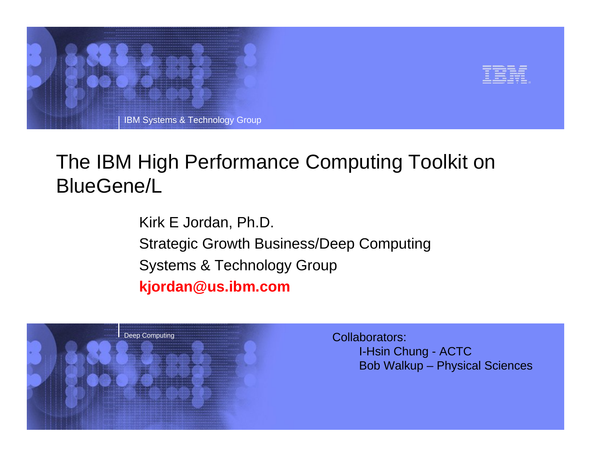



## The IBM High Performance Computing Toolkit on BlueGene/L

Kirk E Jordan, Ph.D. Strategic Growth Business/Deep Computing Systems & Technology Group **kjordan@us.ibm.com**



Collaborators: I-Hsin Chung - ACTC Bob Walkup – Physical Sciences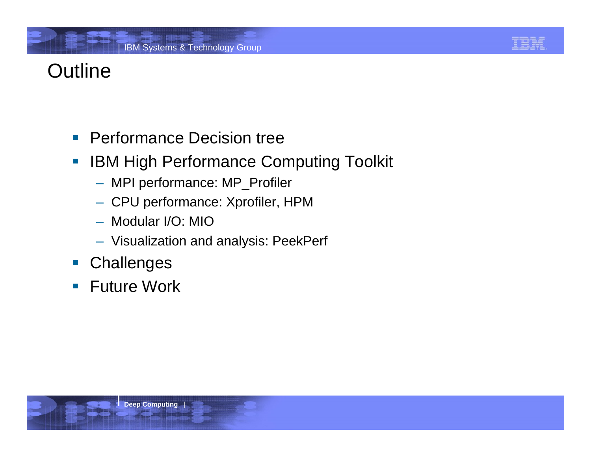### **Outline**

#### **Performance Decision tree**

- $\overline{\phantom{a}}$  IBM High Performance Computing Toolkit
	- MPI performance: MP\_Profiler
	- CPU performance: Xprofiler, HPM
	- Modular I/O: MIO
	- Visualization and analysis: PeekPerf
- $\mathcal{L}_{\mathcal{A}}$ **Challenges**
- $\mathcal{C}^{\mathcal{A}}$ Future Work

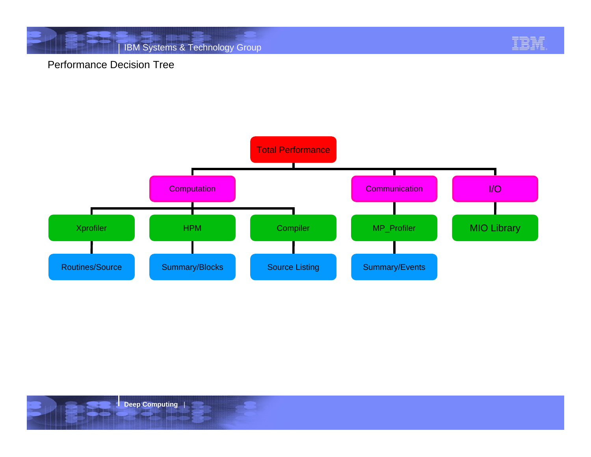

#### Performance Decision Tree



**Deep Computing** |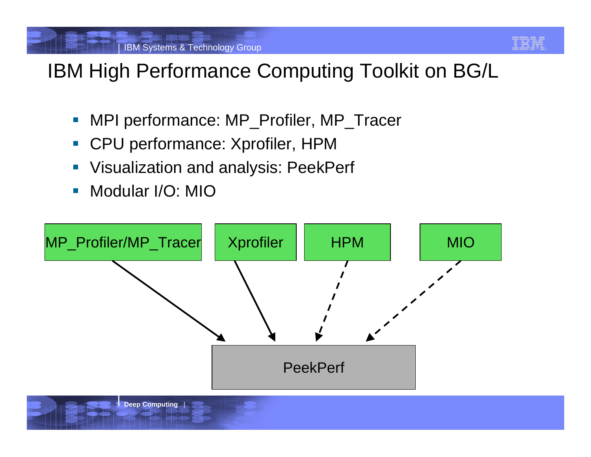

# IBM High Performance Computing Toolkit on BG/L

- $\mathbb{R}^n$ MPI performance: MP\_Profiler, MP\_Tracer
- $\overline{\mathbb{R}^n}$ CPU performance: Xprofiler, HPM
- $\mathbb{R}^n$ Visualization and analysis: PeekPerf
- $\mathcal{C}^{\mathcal{A}}$ Modular I/O: MIO

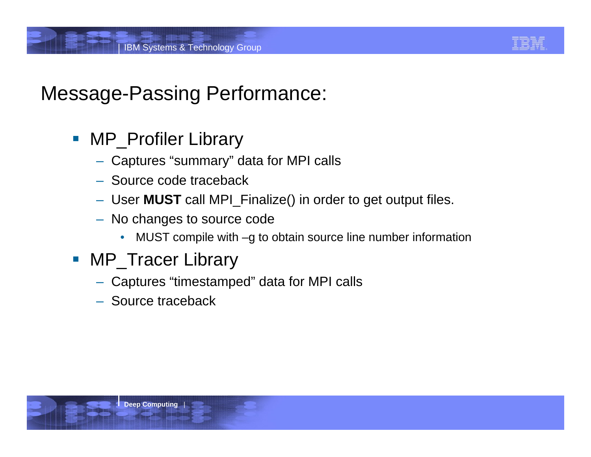

#### Message-Passing Performance:

- **NP\_Profiler Library** 
	- Captures "summary" data for MPI calls
	- Source code traceback
	- User **MUST** call MPI\_Finalize() in order to get output files.
	- No changes to source code
		- •MUST compile with –g to obtain source line number information
- **NP\_Tracer Library** 
	- Captures "timestamped" data for MPI calls
	- Source traceback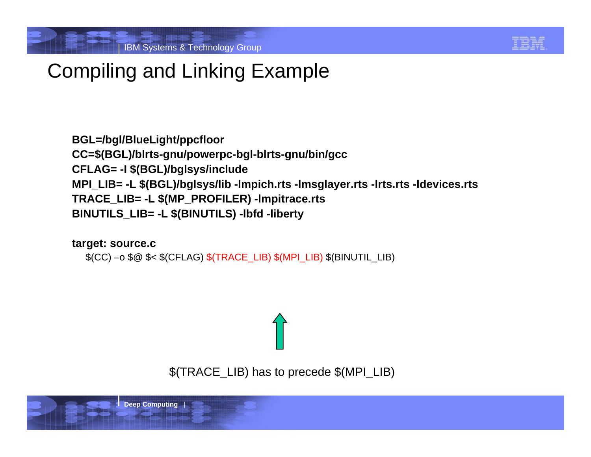

# Compiling and Linking Example

**BGL=/bgl/BlueLight/ppcfloor CC=\$(BGL)/blrts-gnu/powerpc-bgl-blrts-gnu/bin/gcc CFLAG= -I \$(BGL)/bglsys/include MPI\_LIB= -L \$(BGL)/bglsys/lib -lmpich.rts -lmsglayer.rts -lrts.rts -ldevices.rts TRACE\_LIB= -L \$(MP\_PROFILER) -lmpitrace.rts BINUTILS\_LIB= -L \$(BINUTILS) -lbfd -liberty**

**target: source.c** \$(CC) –o \$@ \$< \$(CFLAG) \$(TRACE\_LIB) \$(MPI\_LIB) \$(BINUTIL\_LIB)

\$(TRACE\_LIB) has to precede \$(MPI\_LIB)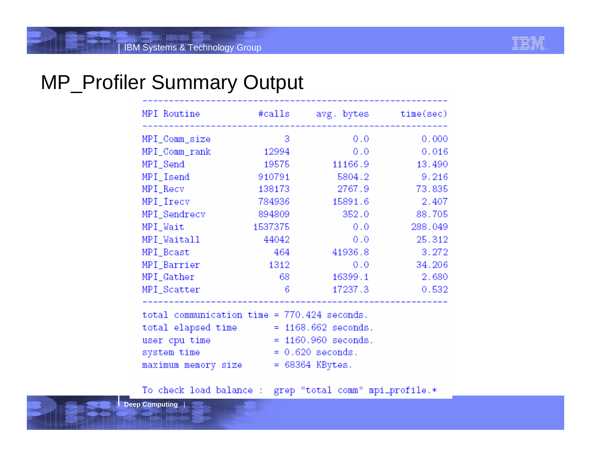

#### MP\_Profiler Summary Output

| MPI Routine   | #calls  | avg. bytes | time/sec) |
|---------------|---------|------------|-----------|
| MPI_Comm_size | 3       | 0.0        | 0.000     |
| MPI_Comm_rank | 12994   | 0.0        | 0.016     |
| MPI_Send      | 19575   | 11166.9    | 13.490    |
| MPI_Isend     | 910791  | 5804.2     | 9.216     |
| MPI_Recv      | 138173  | 2767.9     | 73.835    |
| MPI_Irecv     | 784936  | 15891.6    | 2.407     |
| MPI_Sendrecv  | 894809  | 352.0      | 88.705    |
| MPI_Wait      | 1537375 | 0.0        | 288.049   |
| MPI_Waitall   | 44042   | 0.0        | 25.312    |
| MPI Bcast     | 464     | 41936.8    | 3.272     |
| MPI_Barrier   | 1312    | 0.0        | 34.206    |
| MPI_Gather    | 68      | 16399.1    | 2.680     |
| MPI_Scatter   | 6       | 17237.3    | 0.532     |

| total communication time = 770.424 seconds. |                       |  |
|---------------------------------------------|-----------------------|--|
| total elapsed time                          | $= 1168.662$ seconds. |  |
| user cpu time                               | $= 1160.960$ seconds. |  |
| system time                                 | $= 0.620$ seconds.    |  |
| maximum memory size                         | $= 68364$ KBytes.     |  |

To check load balance : grep "total comm" mpi\_profile.\*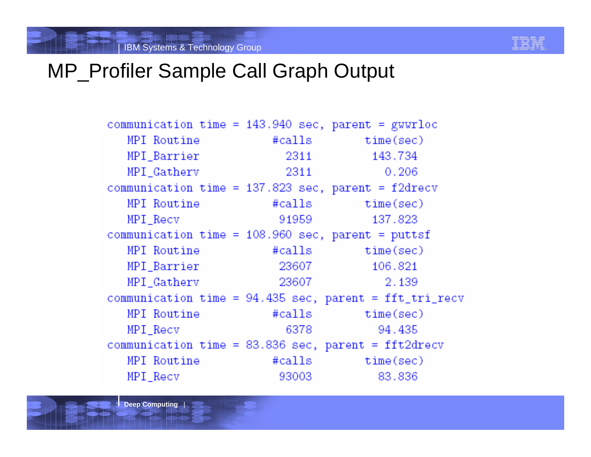

#### MP Profiler Sample Call Graph Output

communication time =  $143.940$  sec, parent = gwwrloc MPT Routine  $#calls$   $time(sec)$ MPI\_Barrier 2311 143.734 MPI Gathery 2311  $0.206$ communication time =  $137.823$  sec, parent =  $f2drecv$ MPI Routine #calls time(sec) MPI Recv 91959 137.823 communication time =  $108.960$  sec, parent = puttsf MPI Routine #calls time(sec) MPI Barrier 23607 106.821 MPI Gathery 23607 2.139 communication time =  $94.435$  sec, parent = fft\_tri\_recv MPI Routine #calls time(sec) 6378 MPI Recv 94.435 communication time =  $83.836$  sec, parent = fft2drecv MPT Routine #calls time(sec) MPI Recv 93003 83.836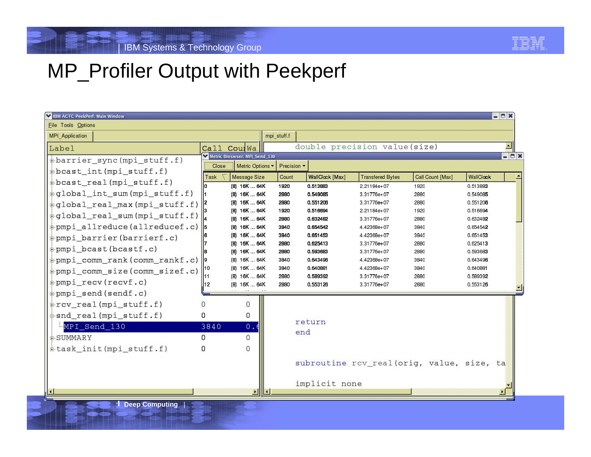

#### MP\_Profiler Output with Peekperf

| <b>VEIBM ACTC PeekPerf: Main Window</b>                  |                                              |              |                      |                                           |                  |                      | $-0x$                    |
|----------------------------------------------------------|----------------------------------------------|--------------|----------------------|-------------------------------------------|------------------|----------------------|--------------------------|
| File Tools Options                                       |                                              |              |                      |                                           |                  |                      |                          |
| MPI Application                                          |                                              | mpi stuff.f  |                      |                                           |                  |                      |                          |
| Label                                                    | CoulWa<br>Call                               |              |                      | double precision value(size)              |                  |                      | $\overline{\phantom{a}}$ |
| #barrier_sync(mpi_stuff.f)                               | Metric Broswser: MPI_Send_130                |              |                      |                                           |                  |                      | $ \Box$ $x$              |
| $\frac{1}{2}$ bcast_int(mpi_stuff.f)                     | Metric Options<br>Close                      | Precision v  |                      |                                           |                  |                      |                          |
| pbcast_real(mpi_stuff.f)                                 | Task<br>Message Size                         | Count        | WallClock [Max]      | <b>Transfered Bytes</b>                   | Call Count [Max] | WallClock            |                          |
| $\left  \pm$ global int sum (mpi stuff.f)                | (8) 16K  64K<br>(8) 16K  64K                 | 1920<br>2880 | 0.513883<br>0.549085 | 2.21184e+07<br>3.31776e+07                | 1920<br>2880     | 0.513883<br>0.549085 |                          |
|                                                          | (8) 16K  64K                                 | 2880         | 0.551206             | 3.31776e+07                               | 2880             | 0.551206             |                          |
| $\left  +$ global_real_max(mpi_stuff.f)                  | (8) 16K  64K                                 | 1920         | 0.516694             | 2.21184e+07                               | 1920             | 0.516694             |                          |
| $\left \pm$ global_real_sum(mpi_stuff.f) $\left \right $ | (8) 16K  64K                                 | 2880         | 0.632482             | 3.31776e+07                               | 2880             | 0.632482             |                          |
| pmpi_allreduce(allreducef.c)                             | 15<br>(8) 16K  64K                           | 3840         | 0.654542             | 4.42368e+07                               | 3840             | 0.654542             |                          |
| pmpi barrier (barrierf.c)                                | (8) 16K  64K                                 | 3840         | 0.651453             | 4.42368e+07                               | 3840             | 0.651453             |                          |
| pmpi bcast(bcastf.c)                                     | 16K  64K<br>(8)                              | 2880         | 0.625413             | 3.31776e+07                               | 2880             | 0.625413             |                          |
| pmpi_comm_rank(comm_rankf.c)                             | 16K  64K<br>(8)<br>$\vert$ 9<br>(8) 16K  64K | 2880<br>3840 | 0.593683<br>0.643496 | 3.31776e+07                               | 2880             | 0.593683             |                          |
|                                                          | (8) 16K  64K                                 | 3840         | 0.640881             | 4.42368e+07<br>4.42368e+07                | 3840<br>3840     | 0.643496<br>0.640881 |                          |
| pmpi comm size (comm sizef.c)                            | $(8)$ 16K  64K<br>11                         | 2880         | 0.589392             | 3.31776e+07                               | 2880             | 0.589392             |                          |
| $\pm$ pmpi recv(recvf.c)                                 | 112<br>(8) 16K  64K                          | 2880         | 0.553126             | 3.31776e+07                               | 2880             | 0.553126             |                          |
| $\phi$ pmpi send (sendf.c)                               |                                              |              |                      |                                           |                  |                      |                          |
| #rcv_real(mpi_stuff.f)                                   | $\Omega$                                     |              |                      |                                           |                  |                      |                          |
| $\frac{1}{2}$ snd_real(mpi_stuff.f)                      | $\Omega$                                     |              |                      |                                           |                  |                      |                          |
| MPI Send 130                                             | 3840<br>0.                                   |              | return               |                                           |                  |                      |                          |
| <b>E-SUMMARY</b>                                         | $\Omega$<br><sup>0</sup>                     |              | end                  |                                           |                  |                      |                          |
| task_init(mpi_stuff.f)                                   | $\Omega$<br>$\Omega$                         |              |                      |                                           |                  |                      |                          |
|                                                          |                                              |              |                      |                                           |                  |                      |                          |
|                                                          |                                              |              |                      | subroutine rcv_real(orig, value, size, ta |                  |                      |                          |
|                                                          |                                              |              |                      |                                           |                  |                      |                          |
|                                                          |                                              |              | implicit none        |                                           |                  |                      |                          |
|                                                          |                                              |              |                      |                                           |                  |                      |                          |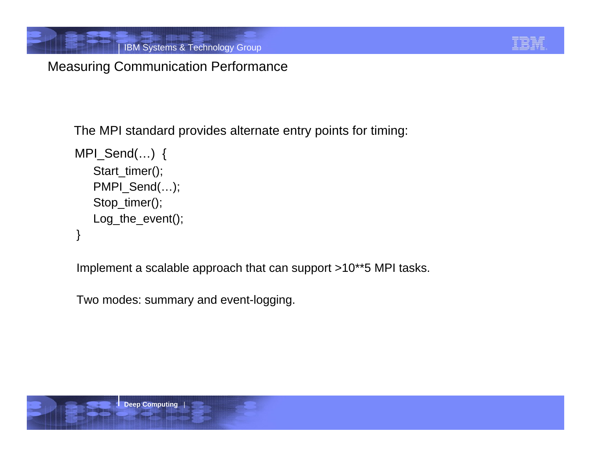

#### Measuring Communication Performance

The MPI standard provides alternate entry points for timing:

```
MPI_Send(…) {
   Start_timer();
   PMPI_Send(...);
   Stop_timer();
   Log_the_event();
}
```
Implement a scalable approach that can support >10\*\*5 MPI tasks.

Two modes: summary and event-logging.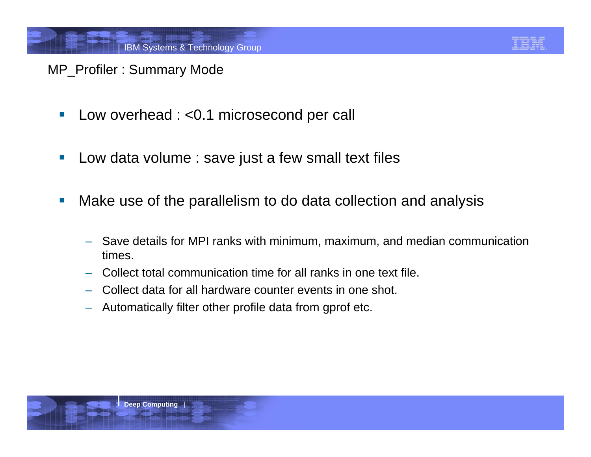

#### MP\_Profiler : Summary Mode

- $\mathbb{R}^n$ Low overhead : <0.1 microsecond per call
- $\mathcal{L}_{\mathcal{A}}$ Low data volume : save just a few small text files
- $\mathbb{R}^n$  Make use of the parallelism to do data collection and analysis
	- Save details for MPI ranks with minimum, maximum, and median communication times.
	- Collect total communication time for all ranks in one text file.
	- Collect data for all hardware counter events in one shot.
	- Automatically filter other profile data from gprof etc.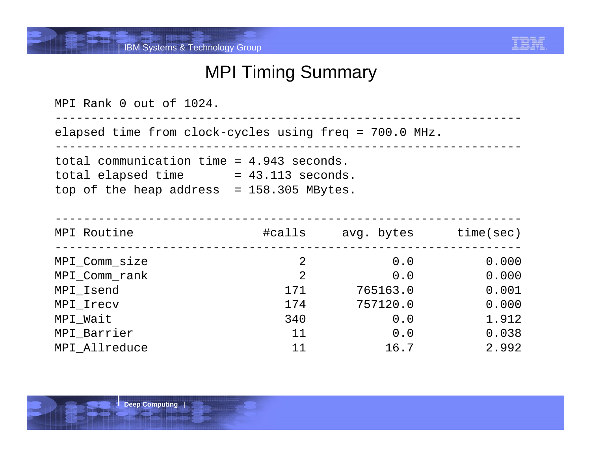

#### MPI Timing Summary

| MPI Rank 0 out of 1024.                                                                                                                |     |                             |       |
|----------------------------------------------------------------------------------------------------------------------------------------|-----|-----------------------------|-------|
| elapsed time from clock-cycles using freq = 700.0 MHz.                                                                                 |     |                             |       |
| total communication time = $4.943$ seconds.<br>$total$ elapsed time $= 43.113$ seconds.<br>top of the heap address $= 158.305$ MBytes. |     |                             |       |
| MPI Routine                                                                                                                            |     | #calls avg. bytes time(sec) |       |
| MPI_Comm_size                                                                                                                          | 2   | 0.0                         | 0.000 |
| MPI_Comm_rank                                                                                                                          | 2   | 0.0                         | 0.000 |
| MPI Isend                                                                                                                              | 171 | 765163.0                    | 0.001 |
| MPI_Irecv                                                                                                                              | 174 | 757120.0                    | 0.000 |
| MPI Wait                                                                                                                               | 340 | 0.0                         | 1.912 |
| MPI_Barrier                                                                                                                            | 11  | 0.0                         | 0.038 |
| MPI Allreduce                                                                                                                          | 11  | 16.7                        | 2.992 |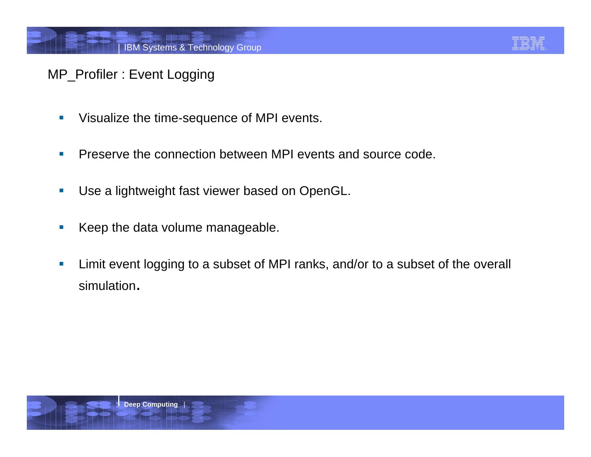

#### MP\_Profiler : Event Logging

- $\overline{\mathcal{A}}$ Visualize the time-sequence of MPI events.
- × Preserve the connection between MPI events and source code.
- $\mathcal{L}_{\mathcal{A}}$ Use a lightweight fast viewer based on OpenGL.
- $\mathcal{A}$ Keep the data volume manageable.
- × Limit event logging to a subset of MPI ranks, and/or to a subset of the overall simulation.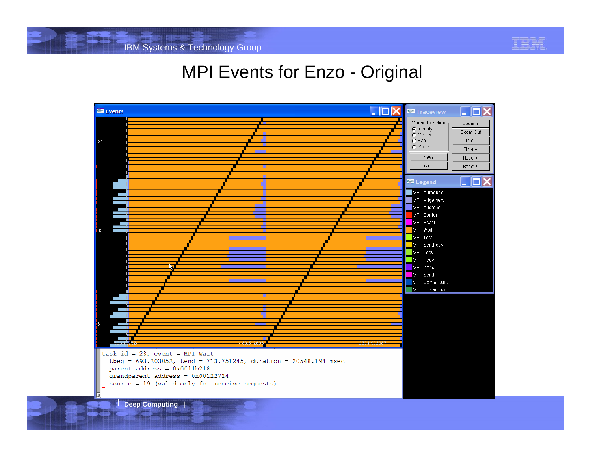

#### MPI Events for Enzo - Original

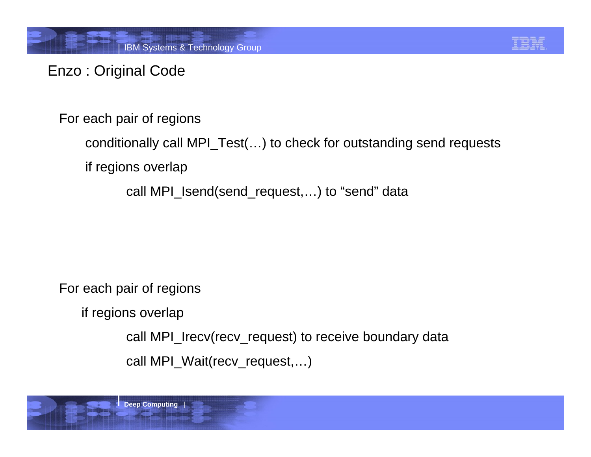

#### Enzo : Original Code

For each pair of regions

```
conditionally call MPI_Test(…) to check for outstanding send requests
```
if regions overlap

call MPI\_Isend(send\_request,…) to "send" data

For each pair of regions

if regions overlap

```
call MPI_Irecv(recv_request) to receive boundary data
```

```
call MPI_Wait(recv_request,…)
```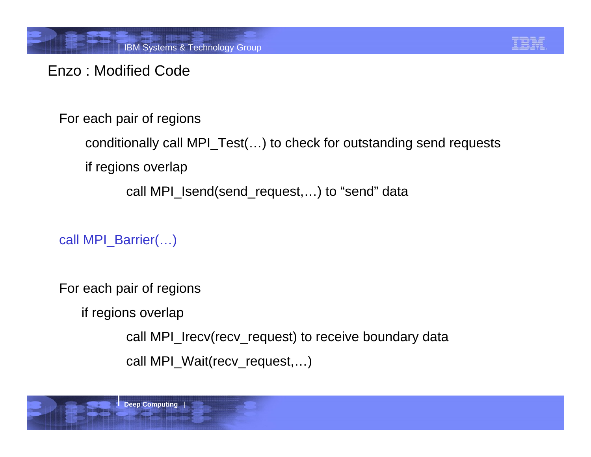#### Enzo : Modified Code

For each pair of regions

```
conditionally call MPI_Test(…) to check for outstanding send requests
```
if regions overlap

call MPI\_Isend(send\_request,…) to "send" data

call MPI\_Barrier(…)

For each pair of regions

if regions overlap

```
call MPI_Irecv(recv_request) to receive boundary data
```

```
call MPI_Wait(recv_request,…)
```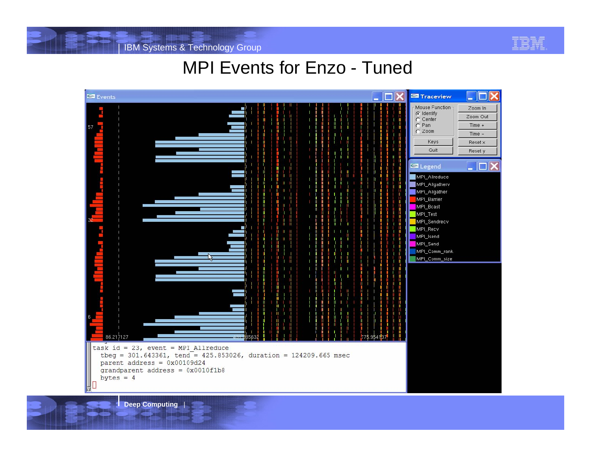

#### MPI Events for Enzo - Tuned



**Deep Computing** |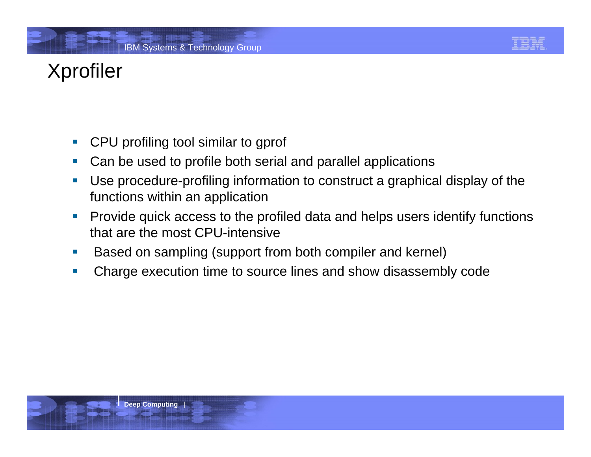# Xprofiler

- $\mathcal{L}_{\mathcal{A}}$ CPU profiling tool similar to gprof
- $\mathcal{C}$ Can be used to profile both serial and parallel applications
- × Use procedure-profiling information to construct a graphical display of the functions within an application
- $\mathcal{C}$  Provide quick access to the profiled data and helps users identify functions that are the most CPU-intensive
- $\mathbb{Z}^2$ Based on sampling (support from both compiler and kernel)
- $\overline{\phantom{a}}$ Charge execution time to source lines and show disassembly code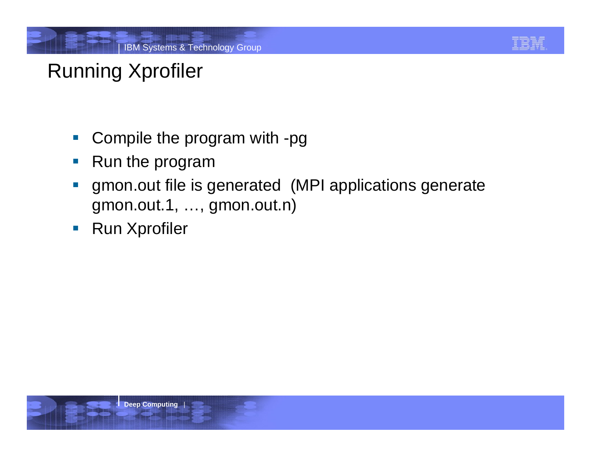

# Running Xprofiler

- $\mathcal{L}_{\mathcal{A}}$ Compile the program with -pg
- $\mathbb{R}^n$ Run the program
- $\Box$  gmon.out file is generated (MPI applications generate gmon.out.1, …, gmon.out.n)
- $\mathcal{L}_{\mathcal{A}}$ Run Xprofiler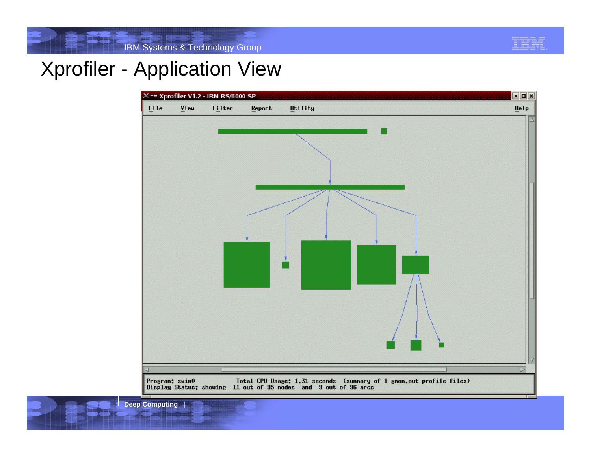

#### Xprofiler - Application View

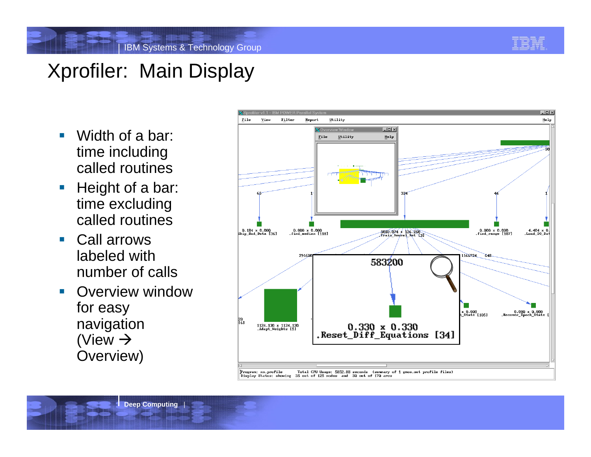## Xprofiler: Main Display

- $\overline{\phantom{a}}$  Width of a bar: time including called routines
- $\overline{\phantom{a}}$ H eight of a bar: time excluding called routines
- $\overline{\phantom{a}}$  Call arrowslabeled withnumber of calls
- $\overline{\phantom{a}}$  Overview windowfor easy navigation (View  $\rightarrow$ Overview)

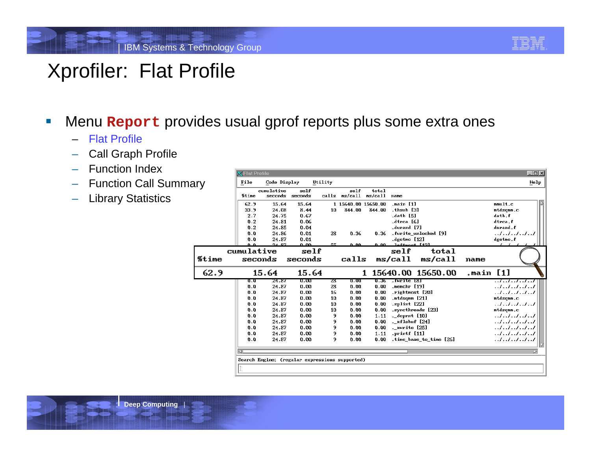

### Xprofiler: Flat Profile

- ľ Menu **Report** provides usual gprof reports plus some extra ones
	- –Flat Profile
	- –Call Graph Profile
	- Function Index
	- Function Call Summary
	- –Library Statistics

|       | <b>X</b> Flat Profile |                       |                                                |         |                     |                  |                                 |                         |           | 모 <sub>비</sub> 지     |
|-------|-----------------------|-----------------------|------------------------------------------------|---------|---------------------|------------------|---------------------------------|-------------------------|-----------|----------------------|
| ıry   | File                  | Code Display          |                                                | Utility |                     |                  |                                 |                         |           | Help                 |
|       | %time                 | cumulative<br>seconds | self<br>seconds                                | calls   | self<br>ms/call     | total<br>ms/call | name                            |                         |           |                      |
|       | 62.9                  | 15.64                 | 15.64                                          |         | 1 15640.00 15650.00 |                  | .main [1]                       |                         |           | $m$ mult.c           |
|       | 33.9                  | 24.08                 | 8.44                                           | 10      | 844.00              | 844.00           | thsub [3]                       |                         |           | mtdsqmm.c            |
|       | 2.7                   | 24.75                 | 0.67                                           |         |                     |                  | .datb [5]                       |                         |           | datb.f               |
|       | 0.2                   | 24.81                 | 0.06                                           |         |                     |                  | dtrca [6].                      |                         |           | dtrca.f              |
|       | 0.2                   | 24.85                 | 0.04                                           |         |                     |                  | durand [7].                     |                         |           | durand.f             |
|       | 0.0                   | 24.86                 | 0.01                                           | 28      | 0.36                | 0.36             |                                 | .fwrite unlocked [9]    |           |                      |
|       | 0.0                   | 24.87                 | 0.01                                           |         |                     |                  | dgetmo [12]                     |                         |           | dgetmo.f             |
|       | n n                   | 24.82                 | ممدم                                           | 尾尾      | 0. QQ               | 0.00-            | leftmost [12]                   |                         |           |                      |
|       | cumulative            |                       | self                                           |         |                     |                  | self                            | total                   |           |                      |
| %time | seconds               |                       | seconds                                        |         | calls               |                  | ms/call                         | ms/call                 | name      |                      |
| 62.9  |                       | 15.64                 | 15.64                                          |         |                     | 1                |                                 | 15640.00 15650.00       | main [1]. |                      |
|       | U.U                   | 24.87                 | ᠊ᢐ.ᡂ                                           | 28      | Ծ. ԾԾ               | U. 36            | .fwrite IXT                     |                         |           | . . / / / / <i>.</i> |
|       | 0.0                   | 24.87                 | 0.00                                           | 28      | 0.00                | 0.00             | .memchr [19]                    |                         |           | . . / / / / /        |
|       | 0.0                   | 24.87                 | 0.00                                           | 16      | 0.00                | 0.00             | .rightmost [20]                 |                         |           | . . / / / / /        |
|       | 0.0                   | 24.87                 | 0.00                                           | 10      | 0.00                | 0.00             | .mtdsqmm [21]                   |                         |           | mtdsqmm.c            |
|       | 0.0                   | 24.87                 | 0.00                                           | 10      | 0.00                | 0.00             | splint [22]                     |                         |           |                      |
|       | 0.0                   | 24.87                 | 0.00                                           | 10      | 0.00                | 0.00             |                                 | syncthreads [23]        |           | mtdsqmm.c            |
|       | 0.0                   | 24.87                 | 0.00                                           | 9       | 0.00                | 1.11             | ._doprnt [10]                   |                         |           | . . / / / / /        |
|       | 0.0                   | 24.87<br>24.87        | 0.00<br>0.00                                   | 9<br>9  | 0.00<br>0.00        | 0.00<br>0.00     | . xflsbuf [24]<br>. xwrite [25] |                         |           | . . / / / / /        |
|       | 0.0<br>0.0            | 24.87                 | 0.00                                           | 9       | 0.00                | 1.11             | .printf [11]                    |                         |           |                      |
|       | 0.0                   | 24.87                 | 0.00                                           | 9       | 0.00                | 0.00             |                                 | time base to time [26]. |           |                      |
|       |                       |                       |                                                |         |                     |                  |                                 |                         |           |                      |
|       |                       |                       |                                                |         |                     |                  |                                 |                         |           | . . / / / / /        |
|       |                       |                       |                                                |         |                     |                  |                                 |                         |           |                      |
|       | 國                     |                       | Search Engine: (regular expressions supported) |         |                     |                  |                                 |                         |           | 罓                    |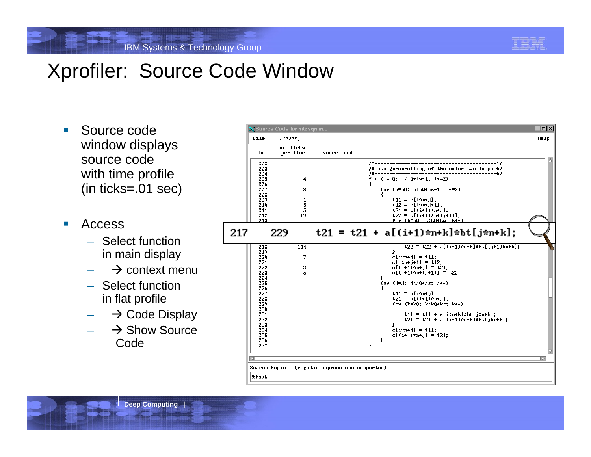## Xprofiler: Source Code Window

- $\mathcal{C}^{\mathcal{A}}$  Source codewindow displays source codewith time profile (in ticks=.01 sec)
- $\mathcal{C}$  Access
	- Select function in main display
	- $\quad \Rightarrow$  context menu
	- Select function in flat profile
	- – ${\mathord{\text{--}}} \quad \Rightarrow$  Code Display
	- $\;\rightarrow$  Show Source Code

|                                                                                         | Utility                     |                                                                                                                                                                                                                                                                                                                         | Help |
|-----------------------------------------------------------------------------------------|-----------------------------|-------------------------------------------------------------------------------------------------------------------------------------------------------------------------------------------------------------------------------------------------------------------------------------------------------------------------|------|
| line                                                                                    | no. ticks<br>per line       | source code                                                                                                                                                                                                                                                                                                             |      |
| 202<br>203<br>204<br>205<br>206<br>207<br>208<br>209<br>210<br>211<br>212               | 4<br>8<br>1<br>5<br>5<br>19 | -------*/<br>/*------<br>/* use 2x-unrolling of the outer two loops */<br>/*-------<br>----------*/<br>for $(i=i0; i(i0+is-1; i+=2)$<br>ſ<br>for $(j=j0; j \langle j0+js-1; j+2)$<br>$t11 = c[i*nt]$ :<br>$t12 = c[i*nt_{i+1}].$<br>$t21 = c[(i+1)*n+j];$<br>$t22 = c[(i+1)*m+(i+1)]$ :                                 |      |
| 213<br>217                                                                              | 229                         | for (k=kQ; k <kq+ks; k++)<br=""><math>t21 = t21 + a[(i+1)*n+k]*b[t[j*n+k];</math></kq+ks;>                                                                                                                                                                                                                              |      |
| 218<br>219<br>220<br>221<br>222<br>223<br>224<br>225<br>226<br>227<br>228<br>229<br>230 | 144<br>7<br>з<br>5          | $t22 = t22 + a[(i+1)*n+k]*b[t((i+1)*n+k];$<br>ł<br>$c[i*n+1]=t11$ :<br>$c[i*n+j+1] = t12$ :<br>$c[(i+1)*m+j] = t21;$<br>$c[(i+1)*n+(i+1)] = t22$<br>Ŧ<br>for $(j=j; j \langle j0+js; j++)$<br>ł.<br>$t11 = c[i*nt,j];$<br>$t21 = c[(i+1)*n+j];$<br>for $(k=k0; k(k0+ks; k++)$<br>€<br>$t11 = t11 + a[im+k]$ *bt[j*n+k]; |      |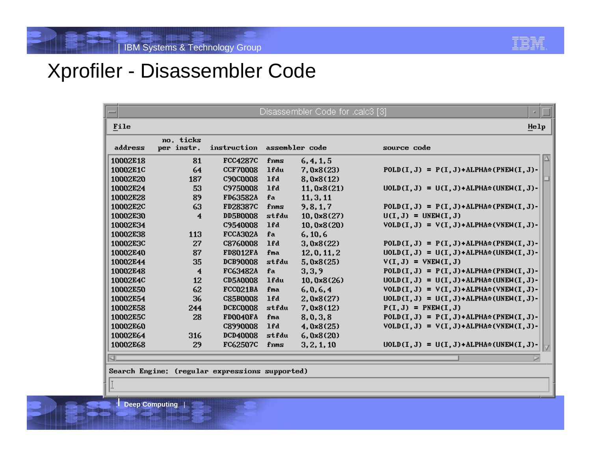#### Xprofiler - Disassembler Code

| $-$             | Disassembler Code for .calc3 [3]<br>п. |                 |       |                |                                               |  |  |  |  |
|-----------------|----------------------------------------|-----------------|-------|----------------|-----------------------------------------------|--|--|--|--|
| File            |                                        |                 |       |                | He1p                                          |  |  |  |  |
| address         | no. ticks<br>per instr.                | instruction     |       | assembler code | source code                                   |  |  |  |  |
| 10002E18        | 81                                     | <b>FCC4287C</b> | fnms  | 6, 4, 1, 5     |                                               |  |  |  |  |
| 10002E1C        | 64                                     | <b>CCF70008</b> | 1fdu  | 7,0x8(23)      | $POLD(I, J) = P(I, J) + ALPHA* (PNEW(I, J) -$ |  |  |  |  |
| 10002E20        | 187                                    | <b>C90C0008</b> | 1fd   | 8,0x8(12)      |                                               |  |  |  |  |
| 10002E24        | 53                                     | C9750008        | 1fd   | 11,0x8(21)     | $UOLD(I, J) = U(I, J) + ALPHA*(UNEM(I, J) -$  |  |  |  |  |
| 10002E28        | 89                                     | <b>FD63582A</b> | fa    | 11, 3, 11      |                                               |  |  |  |  |
| <b>10002E2C</b> | 63                                     | <b>FD28387C</b> | fnms  | 9, 8, 1, 7     | $POLD(I, J) = P(I, J) + ALPHA* (PNEW(I, J) -$ |  |  |  |  |
| 10002E30        | 4                                      | <b>DD5B0008</b> | stfdu | 10,0x8(27)     | $U(I, J) = UNEM(I, J)$                        |  |  |  |  |
| 10002E34        |                                        | <b>C9540008</b> | 1fd   | 10,0x8(20)     | $VOLD(I, J) = V(I, J) + ALPHA*(VNEW(I, J) -$  |  |  |  |  |
| <b>10002E38</b> | 113                                    | FCCA302A        | fa    | 6, 10, 6       |                                               |  |  |  |  |
| 10002E3C        | 27                                     | C8760008        | 1fd   | 3,0x8(22)      | $POLD(I, J) = P(I, J) + ALPHA* (PNEW(I, J) -$ |  |  |  |  |
| 10002E40        | 87                                     | <b>FD8012FA</b> | fma   | 12, 0, 11, 2   | $UOLD(I, J) = U(I, J) + ALPHA*(UNEM(I, J) -$  |  |  |  |  |
| 10002E44        | 35                                     | <b>DCB90008</b> | stfdu | 5,0x8(25)      | $V(I,J) = VNEW(I,J)$                          |  |  |  |  |
| 10002E48        | 4                                      | FC63482A        | fa    | 3,3,9          | $POLD(I, J) = P(I, J) + ALPHA*(PNEW(I, J) -$  |  |  |  |  |
| 10002E4C        | 12                                     | <b>CD5A0008</b> | 1fdu  | 10,0x8(26)     | $UOLD(I, J) = U(I, J) + ALPHA*(UNEM(I, J) -$  |  |  |  |  |
| 10002E50        | 62                                     | FCC021BA        | fma   | 6, 0, 6, 4     | $VOLD(I, J) = V(I, J) + ALPHA*(VNEW(I, J) -$  |  |  |  |  |
| 10002E54        | 36                                     | <b>C85B0008</b> | 1fd   | 2,0x8(27)      | $UOLD(I, J) = U(I, J) + ALPHA*(UNEM(I, J) -$  |  |  |  |  |
| 10002E58        | 244                                    | <b>DCEC0008</b> | stfdu | 7,0x8(12)      | $P(I,J) = PNEW(I,J)$                          |  |  |  |  |
| 10002E5C        | 28                                     | FD0040FA        | fma   | 8,0,3,8        | $POLD(I, J) = P(I, J) + ALPHA* (PNEW(I, J) -$ |  |  |  |  |
| 10002E60        |                                        | <b>C8990008</b> | 1fd   | 4,0x8(25)      | $VOLD(I, J) = V(I, J) + ALPHA*(VNEW(I, J) -$  |  |  |  |  |
| 10002E64        | 316                                    | <b>DCD40008</b> | stfdu | 6,0x8(20)      |                                               |  |  |  |  |
| 10002E68        | 29                                     | <b>FC62507C</b> | fnms  | 3, 2, 1, 10    | $UOLD(I, J) = U(I, J) + ALPHA*$ (UNEW(I, J)-  |  |  |  |  |
| KI.             |                                        |                 |       |                |                                               |  |  |  |  |

Search Engine: (regular expressions supported)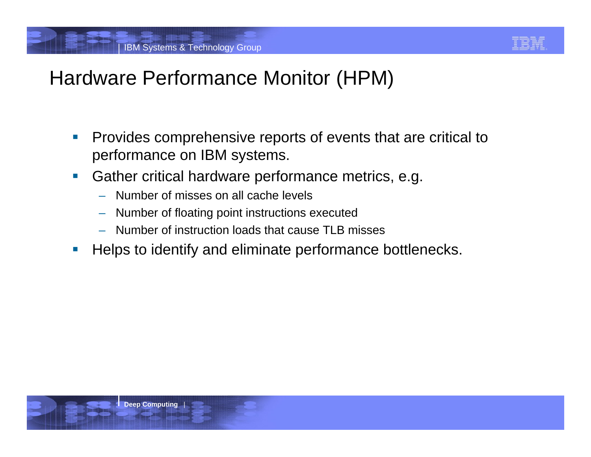

### Hardware Performance Monitor (HPM)

- $\overline{\phantom{a}}$  Provides comprehensive reports of events that are critical to performance on IBM systems.
- $\mathbb{R}^n$  Gather critical hardware performance metrics, e.g.
	- Number of misses on all cache levels
	- Number of floating point instructions executed
	- Number of instruction loads that cause TLB misses
- $\overline{\phantom{a}}$ Helps to identify and eliminate performance bottlenecks.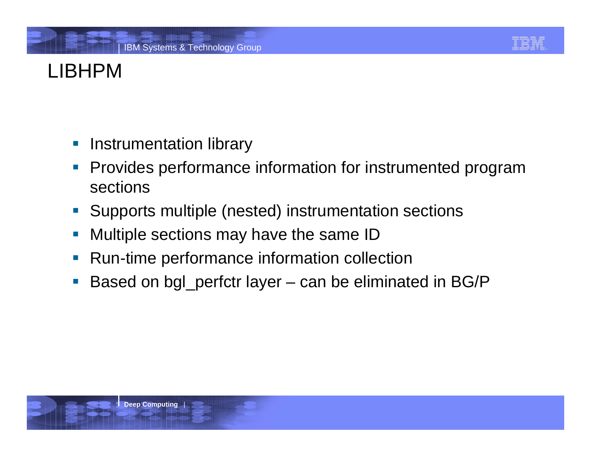# LIBHPM

- $\mathcal{L}_{\mathcal{A}}$ Instrumentation library
- $\overline{\phantom{a}}$  Provides performance information for instrumented program sections
- $\mathcal{L}_{\mathcal{A}}$ Supports multiple (nested) instrumentation sections
- $\mathbb{R}^n$ Multiple sections may have the same ID
- $\mathbb{R}^3$ Run-time performance information collection
- $\mathbb{R}^2$ Based on bgl\_perfctr layer – can be eliminated in BG/P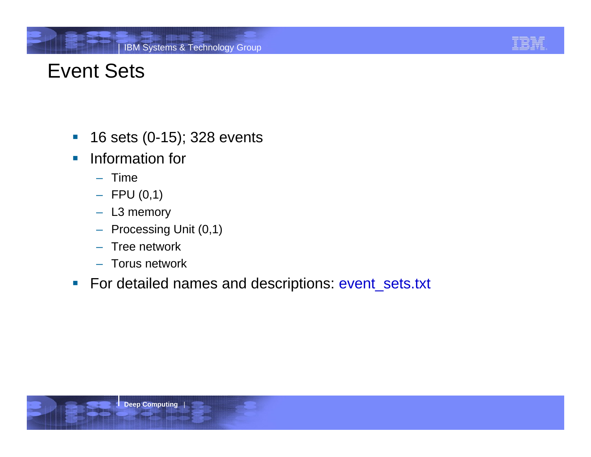## Event Sets

- $\mathcal{L}_{\mathcal{A}}$ 16 sets (0-15); 328 events
- $\mathcal{C}^{\mathcal{A}}$  Information for
	- Time
	- FPU (0,1)
	- L3 memory
	- Processing Unit (0,1)
	- Tree network
	- Torus network
- $\mathcal{L}_{\mathcal{A}}$ For detailed names and descriptions: event\_sets.txt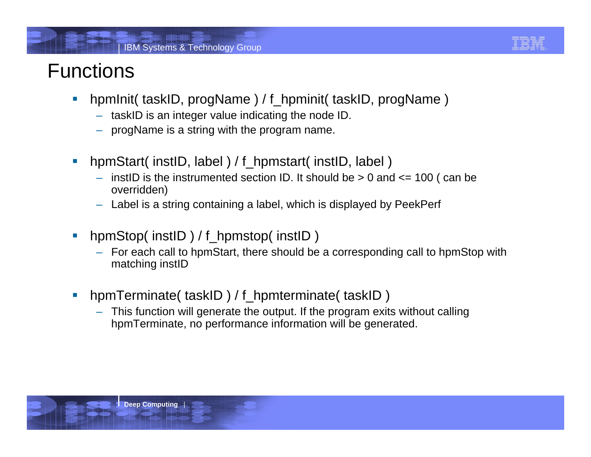# Functions

- $\mathcal{L}_{\mathcal{A}}$ hpmInit( taskID, progName ) / f\_hpminit( taskID, progName )
	- –- taskID is an integer value indicating the node ID.
	- progName is a string with the program name.
- $\mathcal{C}$ hpmStart( instID, label ) / f\_hpmstart( instID, label )
	- – $-$  instID is the instrumented section ID. It should be  $> 0$  and  $\lt = 100$  ( can be overridden)
	- Label is a string containing a label, which is displayed by PeekPerf
- $\mathbb{R}^n$ hpmStop( instID) / f\_hpmstop( instID)
	- – For each call to hpmStart, there should be a corresponding call to hpmStop with matching instID
- $\mathcal{L}_{\mathcal{A}}$ hpmTerminate( taskID) / f\_hpmterminate( taskID)
	- – This function will generate the output. If the program exits without calling hpmTerminate, no performance information will be generated.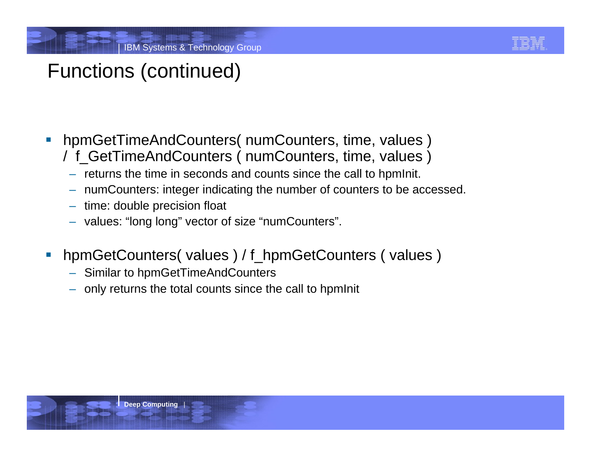

## Functions (continued)

- hpmGetTimeAndCounters( numCounters, time, values ) / f\_GetTimeAndCounters ( numCounters, time, values )
	- returns the time in seconds and counts since the call to hpmInit.
	- –numCounters: integer indicating the number of counters to be accessed.
	- time: double precision float
	- values: "long long" vector of size "numCounters".
- hpmGetCounters( values ) / f\_hpmGetCounters ( values )
	- Similar to hpmGetTimeAndCounters
	- only returns the total counts since the call to hpmInit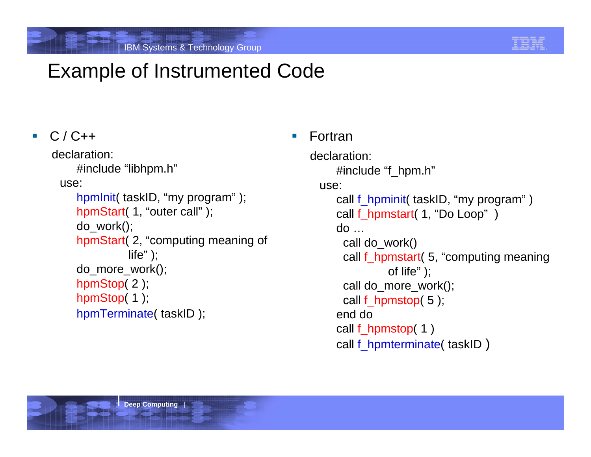

### Example of Instrumented Code

#### ▉  $C / C++$

```
declaration: #include "libhpm.h"
 use:
```

```
hpmInit( taskID, "my program" );
hpmStart( 1, "outer call" );
do_work();
hpmStart( 2, "computing meaning of 
         life" );
do_more_work(); 
hpmStop(2);
hpmStop(1);
hpmTerminate( taskID );
```
#### ▁ Fortran

```
declaration: #include "f_hpm.h"
 use: call f_hpminit( taskID, "my program" ) 
     call f_hpmstart( 1, "Do Loop" )
     do … call do_work() 
      call f_hpmstart( 5, "computing meaning 
               of life" );
      call do_more_work();
      call f_hpmstop( 5 ); 
     end do call f_hpmstop( 1 ) 
     call f_hpmterminate( taskID )
```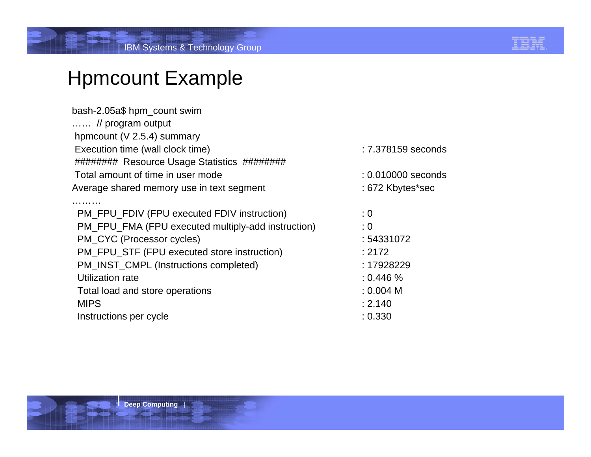

#### Hpmcount Example

| : 7.378159 seconds |
|--------------------|
|                    |
| : 0.010000 seconds |
| : 672 Kbytes*sec   |
|                    |
| : 0                |
| : 0                |
| : 54331072         |
| : 2172             |
| : 17928229         |
| : 0.446 %          |
| : 0.004 M          |
| : 2.140            |
| : 0.330            |
|                    |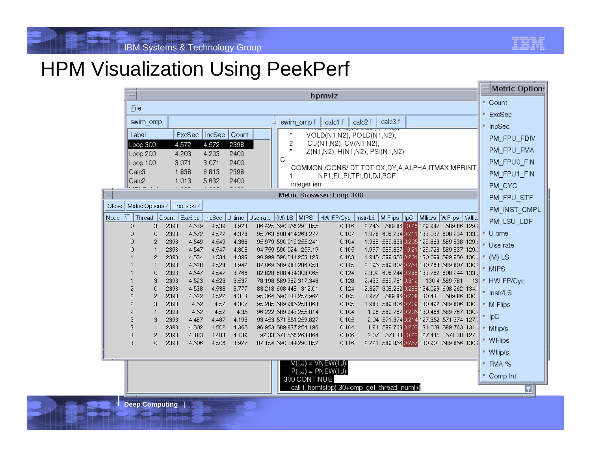

#### HPM Visualization Using PeekPerf

| hpmviz<br>Eile<br>calc3.f<br>calc2.f<br>swim_omp<br>swim_omp.f<br>calc1.f                                                                                                                                                                                            | и. | ■ Count<br>ExcSec     |
|----------------------------------------------------------------------------------------------------------------------------------------------------------------------------------------------------------------------------------------------------------------------|----|-----------------------|
|                                                                                                                                                                                                                                                                      |    |                       |
|                                                                                                                                                                                                                                                                      |    |                       |
|                                                                                                                                                                                                                                                                      |    | ■ IncSec              |
| ExcSec<br>Label<br>IncSec<br>Count<br>VOLD(N1,N2), POLD(N1,N2),                                                                                                                                                                                                      |    | PM FPU FDIV           |
| 2<br>CU(N1,N2), CV(N1,N2),<br>4.572<br>4.572<br>2398<br>Loop 300<br>Z(N1,N2), H(N1,N2), PSI(N1,N2)                                                                                                                                                                   |    | PM_FPU_FMA            |
| 4.203<br>Loop 200<br>4.203<br>2400<br>С<br>Loop 100<br>3.071<br>3.071<br>2400                                                                                                                                                                                        |    | PM_FPU0_FIN           |
| COMMON /CONS/ DT,TDT,DX,DY,A,ALPHA,ITMAX,MPRINT,<br>Calc3<br>1.838<br>6.813<br>2398                                                                                                                                                                                  |    |                       |
| NP1,EL,PI,TPI,DI,DJ,PCF<br>Calc <sub>2</sub><br>1.013<br>5.632<br>2400                                                                                                                                                                                               |    | PM_FPU1_FIN           |
| integer ierr                                                                                                                                                                                                                                                         |    | PM CYC                |
| Metric Broswser: Loop 300                                                                                                                                                                                                                                            |    | PM_FPU_STF            |
| Metric Options<br>Precision /<br>Close                                                                                                                                                                                                                               |    | PM INST CMPL          |
| Node<br>ExcSec   IncSec<br>HW FP/Cyc   Instr/LS   M Flips<br>Thread<br>$\vert$ Count<br>$ (M)$ LS $ MPS $<br>$ $ lpC<br>Mflip/s WFlips Wflip.<br>$ U $ time $ U$ se rate                                                                                             |    | PM_LSU_LDF            |
| 2398<br>4.539<br>589.86 0.26 129.947 589.86 129.9<br>$\circ$<br>4.539<br>3.923<br>86.425 590.056 291.855<br>0.116<br>2.245<br>3<br>2398<br>4.572<br>4.378<br>1.978 608.234 0.211 133.037 608.234 133.0<br>0<br>4.572<br>95.763 608.414 263.277<br>0.107<br>$\Omega$  |    | $\blacksquare$ U time |
| 2398<br>4.549<br>4.549<br>4.366<br>95.979 590.019 255.241<br>0.104<br>1.968 589.838 0.205 129.663 589.838 129.6<br>2                                                                                                                                                 |    | ■ Use rate            |
| 4.547<br>4.547<br>4.308<br>0.105<br>1.997 589.837 0.21 129.728 589.837 129.7<br>$\mathbf{1}$<br>2398<br>94.759 590.024 259.19                                                                                                                                        |    |                       |
| $\overline{c}$<br>4.534<br>4.398<br>1.945 589.856 0.201 130.088 589.856 130.0<br>2398<br>4.534<br>96.999 590.044 253.123<br>0.103<br>$\mathbf{1}$<br>4.528<br>3.942<br>2.195 589.807 0.253 130.263 589.807 130.2<br>2398<br>4.528<br>87.069 589.983 286.058<br>0.115 |    | $M(M)$ LS             |
| 4.547<br>3.766<br>0<br>2398<br>4.547<br>82.828 608.434 308.065<br>0.124<br>2.302 608.244 0.286 133.762 608.244 133.7                                                                                                                                                 |    | ■ MIPS                |
| 3<br>2398<br>4.523<br>4.523<br>3.537<br>78.198 589.962 317.346<br>0.128<br>2.433 589.781 0.312<br>130.4 589.781                                                                                                                                                      | 13 | ■ HW FP/Cyc           |
| 3.777<br>4.538<br>4.538<br>0.124<br>2.327 608.262 0.288 134.029 608.262 134.0<br>0<br>2398<br>83.218 608.448 312.01                                                                                                                                                  |    |                       |
| $\overline{c}$<br>2398<br>4.522<br>4.522<br>4.313<br>589.86 0.208 130.431<br>589.86 130.4<br>95.364 590.033 257.962<br>0.105<br>1.977                                                                                                                                |    | ■ Instr/LS            |
| 3<br>4.52<br>4.52<br>4.307<br>1.983 589.806 0.209 130.492 589.806 130.4<br>2398<br>95.285 589.985 258.863<br>0.105                                                                                                                                                   |    | ■ M Flips             |
| $\mathbf{1}$<br>1.96 589.767 0.205 130.466 589.767 130.4<br>2398<br>4.52<br>4.52<br>4.35<br>96.222 589.943 255.814<br>0.104                                                                                                                                          |    | $\blacksquare$ IpC    |
| З<br>3<br>2398<br>4.487<br>4.487<br>4.193<br>0.105<br>2.04 571.374 0.214 127.352 571.374 127.3<br>93.453 571.551 259.827<br>2398<br>4.502<br>4.502<br>4.365<br>96.953 589.937 254.196<br>0.104<br>1.94 589.763 0.202 131.003 589.763 131.0<br>3<br>$\mathbf{1}$      |    |                       |
| $\overline{c}$<br>4.483<br>0.106<br>2.07 571.38 0.22 127.445 571.38 127.4<br>3<br>2398<br>4.483<br>4.139<br>92.33 571.556 263.864                                                                                                                                    |    | ■ Milip/s             |
| 3<br>0<br>4.506<br>3.927<br>2.221 589.856 0.257 130.901 589.856 130.9<br>2398<br>4.506<br>87.154 590.044 290.852<br>0.116                                                                                                                                            |    | ■ WFlips              |
|                                                                                                                                                                                                                                                                      |    | ■ Wflip/s             |
| (ل,T) = VNEW = (ل,T)                                                                                                                                                                                                                                                 |    | ■ FMA %               |
| $P(I,J) = PNEW(I,J)$<br>300 CONTINUE                                                                                                                                                                                                                                 |    | ■ Comp Int.           |
| call f_hpmtstop(30+omp_get_thread_num())                                                                                                                                                                                                                             |    |                       |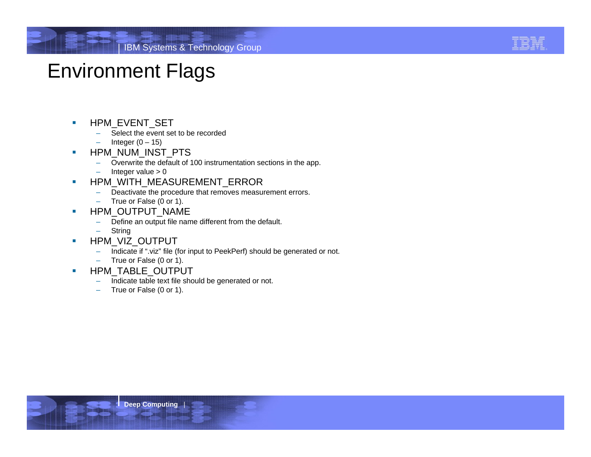

#### Environment Flags

- $\mathcal{C}$  HPM\_EVENT\_SET
	- Select the event set to be recorded
	- Integer  $(0 15)$
- ×, HPM\_NUM\_INST\_PTS
	- Overwrite the default of 100 instrumentation sections in the app.
	- Integer value  $> 0$
- u, HPM\_WITH\_MEASUREMENT\_ERROR
	- Deactivate the procedure that removes measurement errors.
	- $\overline{\phantom{0}}$ True or False (0 or 1).
- $\overline{\phantom{a}}$  HPM\_OUTPUT\_NAME
	- Define an output file name different from the default.
	- **String**
- $\overline{\phantom{a}}$  HPM\_VIZ\_OUTPUT
	- Indicate if ".viz" file (for input to PeekPerf) should be generated or not.
	- –True or False (0 or 1).
- $\overline{\phantom{a}}$  HPM\_TABLE\_OUTPUT
	- Indicate table text file should be generated or not.
	- True or False (0 or 1).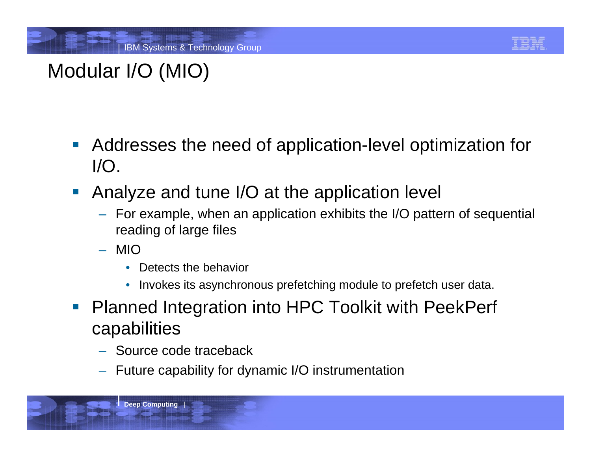

# Modular I/O (MIO)

- $\mathcal{L}_{\mathcal{A}}$  Addresses the need of application-level optimization for I/O.
- Analyze and tune I/O at the application level
	- For example, when an application exhibits the I/O pattern of sequential reading of large files
	- MIO
		- $\bullet$ Detects the behavior
		- $\bullet$ Invokes its asynchronous prefetching module to prefetch user data.
- **Planned Integration into HPC Toolkit with PeekPerf** capabilities
	- Source code traceback
	- Future capability for dynamic I/O instrumentation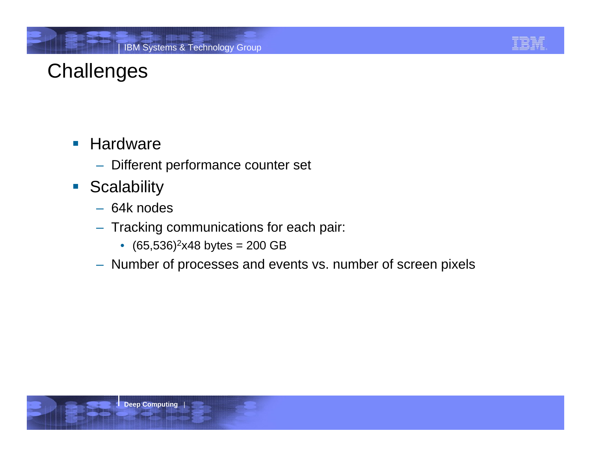

# **Challenges**

- **Hardware** 
	- Different performance counter set
- **Scalability** 
	- 64k nodes
	- Tracking communications for each pair:
		- $\bullet$  (65,536)<sup>2</sup>x48 bytes = 200 GB
	- Number of processes and events vs. number of screen pixels